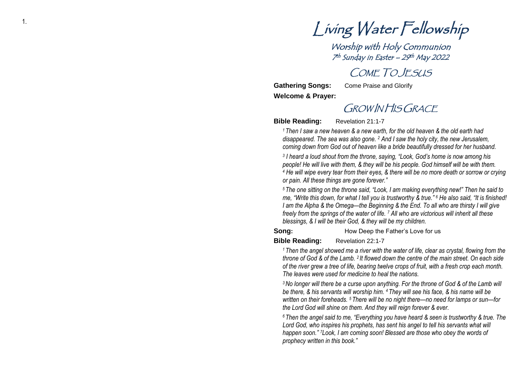<sup>1.</sup> Living Water Fellowship

Worship with Holy Communion 7 th Sunday in Easter –<sup>29</sup> th May 2022

# COME TO JESUS

**Gathering Song s Welcome & Prayer:**  **:** Come Praise and Glorify

# GROW IN HIS GRACE

**Bible Reading :** Revelation 21: 1 - 7

*<sup>1</sup>Then I saw a new heaven & a new earth, for the old heaven & the old earth had disappeared. The sea was also gone. <sup>2</sup> And I saw the holy city, the new Jerusalem, coming down from God out of heaven like a bride beautifully dressed for her husband.*

*3 I heard a loud shout from the throne, saying, "Look, God's home is now among his people! He will live with them, & they will be his people. God himself will be with them. <sup>4</sup> He will wipe every tear from their eyes, & there will be no more death or sorrow or crying or pain. All these things are gone forever."*

<sup>5</sup> The one sitting on the throne said, "Look, I am making everything new!" Then he said to *me, "Write this down, for what I tell you is trustworthy & true." 6 He also said, "It is finished! I am the Alpha & the Omega —the Beginning & the End. To all who are thirsty I will give freely from the springs of the water of life. <sup>7</sup> All who are victorious will inherit all these blessings, & I will be their God, & they will be my children.*

### **Song**

**:** How Deep the Father's Love for us

#### **Bible Reading :** Revelation 22:1 - 7

*<sup>1</sup>Then the angel showed me a river with the water of life, clear as crystal, flowing from the throne of God & of the Lamb. 2 It flowed down the centre of the main street. On each side of the river grew a tree of life, bearing twelve crops of fruit, with a fresh crop each month. The leaves were used for medicine to heal the nations.*

*<sup>3</sup>No longer will there be a curse upon anything. For the throne of God & of the Lamb will be there, & his servants will worship him. 4 They will see his face, & his name will be*  written on their foreheads. <sup>5</sup> There will be no night there—no need for lamps or sun—for *the Lord God will shine on them. And they will reign forever & ever.*

*<sup>6</sup> Then the angel said to me, "Everything you have heard & seen is trustworthy & true. The Lord God, who inspires his prophets, has sent his angel to tell his servants what will happen soon. " <sup>7</sup>Look, I am coming soon! Blessed are those who obey the words of prophecy written in this book. "*